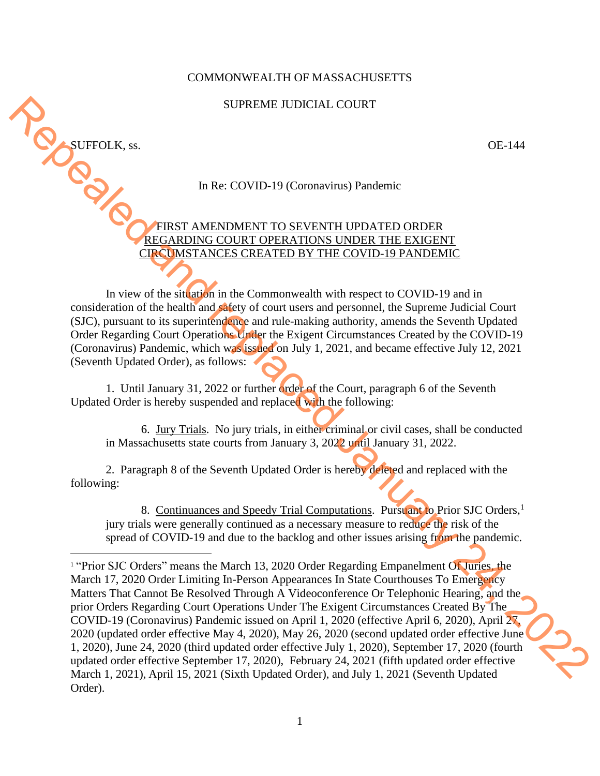## COMMONWEALTH OF MASSACHUSETTS

## SUPREME JUDICIAL COURT

SUFFOLK, ss.<br>OE-144<br>In Re: COVID-19 (Coronavirus) Pandemic

In Re: COVID-19 (Coronavirus) Pandemic

FIRST AMENDMENT TO SEVENTH UPDATED ORDER REGARDING COURT OPERATIONS UNDER THE EXIGENT CIRCUMSTANCES CREATED BY THE COVID-19 PANDEMIC

In view of the situation in the Commonwealth with respect to COVID-19 and in consideration of the health and safety of court users and personnel, the Supreme Judicial Court (SJC), pursuant to its superintendence and rule-making authority, amends the Seventh Updated Order Regarding Court Operations Under the Exigent Circumstances Created by the COVID-19 (Coronavirus) Pandemic, which was issued on July 1, 2021, and became effective July 12, 2021 (Seventh Updated Order), as follows:

1. Until January 31, 2022 or further order of the Court, paragraph 6 of the Seventh Updated Order is hereby suspended and replaced with the following:

6. Jury Trials. No jury trials, in either criminal or civil cases, shall be conducted in Massachusetts state courts from January 3, 2022 until January 31, 2022.

2. Paragraph 8 of the Seventh Updated Order is hereby deleted and replaced with the following:

8. Continuances and Speedy Trial Computations. Pursuant to Prior SJC Orders,<sup>1</sup> jury trials were generally continued as a necessary measure to reduce the risk of the spread of COVID-19 and due to the backlog and other issues arising from the pandemic.

<sup>&</sup>lt;sup>1</sup> "Prior SJC Orders" means the March 13, 2020 Order Regarding Empanelment Of Juries, the March 17, 2020 Order Limiting In-Person Appearances In State Courthouses To Emergency Matters That Cannot Be Resolved Through A Videoconference Or Telephonic Hearing, and the prior Orders Regarding Court Operations Under The Exigent Circumstances Created By The COVID-19 (Coronavirus) Pandemic issued on April 1, 2020 (effective April 6, 2020), April 27, 2020 (updated order effective May 4, 2020), May 26, 2020 (second updated order effective June 1, 2020), June 24, 2020 (third updated order effective July 1, 2020), September 17, 2020 (fourth updated order effective September 17, 2020), February 24, 2021 (fifth updated order effective March 1, 2021), April 15, 2021 (Sixth Updated Order), and July 1, 2021 (Seventh Updated Order). SUPREME IUDICIAL COURT<br>
UP (LEAT AME COVID-19 (Chromavima) Prackemic<br>
In Re. COVID-19 (Chromavima) Prackemic<br>
In Re. COVID-19 (Chromavima) Prackemic<br>
CHROMENT CORE (CHROMENT CORE COVID-19 FATED OPERATED AND THE COVID-19 F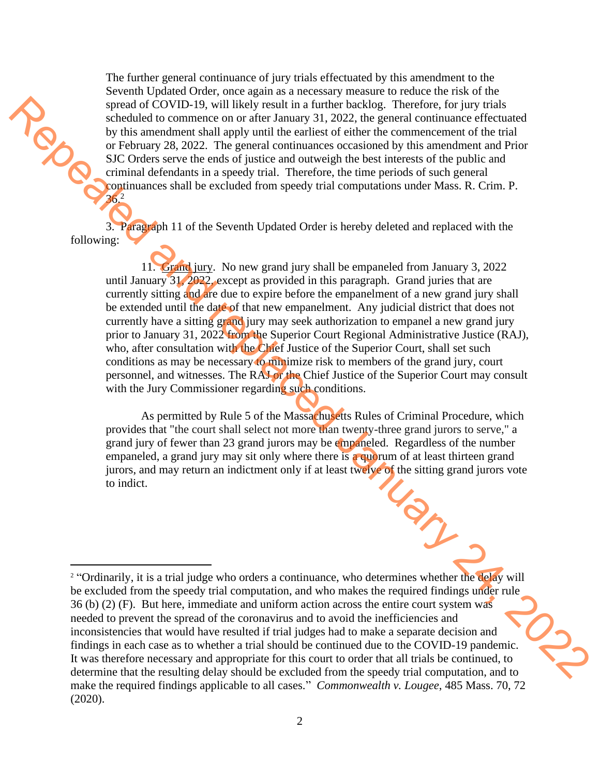The further general continuance of jury trials effectuated by this amendment to the Seventh Updated Order, once again as a necessary measure to reduce the risk of the spread of COVID-19, will likely result in a further backlog. Therefore, for jury trials scheduled to commence on or after January 31, 2022, the general continuance effectuated by this amendment shall apply until the earliest of either the commencement of the trial or February 28, 2022. The general continuances occasioned by this amendment and Prior SJC Orders serve the ends of justice and outweigh the best interests of the public and criminal defendants in a speedy trial. Therefore, the time periods of such general continuances shall be excluded from speedy trial computations under Mass. R. Crim. P. 36. 2

3. Paragraph 11 of the Seventh Updated Order is hereby deleted and replaced with the following:

11. Grand jury. No new grand jury shall be empaneled from January 3, 2022 until January 31, 2022, except as provided in this paragraph. Grand juries that are currently sitting and are due to expire before the empanelment of a new grand jury shall be extended until the date of that new empanelment. Any judicial district that does not currently have a sitting grand jury may seek authorization to empanel a new grand jury prior to January 31, 2022 from the Superior Court Regional Administrative Justice (RAJ), who, after consultation with the Chief Justice of the Superior Court, shall set such conditions as may be necessary to minimize risk to members of the grand jury, court personnel, and witnesses. The RAJ or the Chief Justice of the Superior Court may consult with the Jury Commissioner regarding such conditions. system of COVID-19, will likely issue in a turbular backbag. Therefore, for jury inside model and the proposition of the train the state of each continuate of the model of the proposition of the state of each continue to

As permitted by Rule 5 of the Massachusetts Rules of Criminal Procedure, which provides that "the court shall select not more than twenty-three grand jurors to serve," a grand jury of fewer than 23 grand jurors may be empaneled. Regardless of the number empaneled, a grand jury may sit only where there is a quorum of at least thirteen grand jurors, and may return an indictment only if at least twelve of the sitting grand jurors vote to indict.

<sup>&</sup>lt;sup>2</sup> "Ordinarily, it is a trial judge who orders a continuance, who determines whether the delay will be excluded from the speedy trial computation, and who makes the required findings under rule 36 (b) (2) (F). But here, immediate and uniform action across the entire court system was needed to prevent the spread of the coronavirus and to avoid the inefficiencies and inconsistencies that would have resulted if trial judges had to make a separate decision and findings in each case as to whether a trial should be continued due to the COVID-19 pandemic. It was therefore necessary and appropriate for this court to order that all trials be continued, to determine that the resulting delay should be excluded from the speedy trial computation, and to make the required findings applicable to all cases." *Commonwealth v. Lougee*, 485 Mass. 70, 72 (2020).